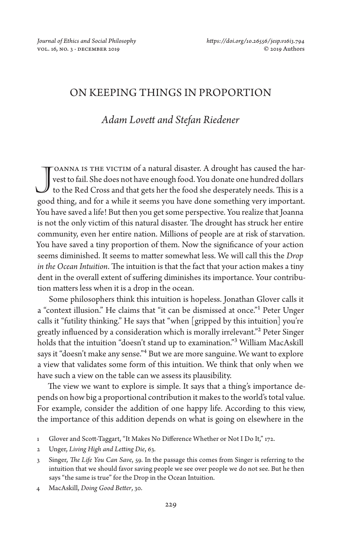# ON KEEPING THINGS IN PROPORTION

# *Adam Lovett and Stefan Riedener*

TOANNA IS THE VICTIM of a natural disaster. A drought has caused the harvest to fail. She does not have enough food. You donate one hundred dollars to the Red Cross and that gets her the food she desperately needs. This is a JOANNA IS THE VICTIM of a natural disaster. A drought has caused the harvest to fail. She does not have enough food. You donate one hundred dollars to the Red Cross and that gets her the food she desperately needs. This is You have saved a life! But then you get some perspective. You realize that Joanna is not the only victim of this natural disaster. The drought has struck her entire community, even her entire nation. Millions of people are at risk of starvation. You have saved a tiny proportion of them. Now the significance of your action seems diminished. It seems to matter somewhat less. We will call this the *Drop in the Ocean Intuition*. The intuition is that the fact that your action makes a tiny dent in the overall extent of suffering diminishes its importance. Your contribution matters less when it is a drop in the ocean.

Some philosophers think this intuition is hopeless. Jonathan Glover calls it a "context illusion." He claims that "it can be dismissed at once."1 Peter Unger calls it "futility thinking." He says that "when [gripped by this intuition] you're greatly influenced by a consideration which is morally irrelevant."2 Peter Singer holds that the intuition "doesn't stand up to examination."3 William MacAskill says it "doesn't make any sense."<sup>4</sup> But we are more sanguine. We want to explore a view that validates some form of this intuition. We think that only when we have such a view on the table can we assess its plausibility.

The view we want to explore is simple. It says that a thing's importance depends on how big a proportional contribution it makes to the world's total value. For example, consider the addition of one happy life. According to this view, the importance of this addition depends on what is going on elsewhere in the

4 MacAskill, *Doing Good Better*, 30.

<sup>1</sup> Glover and Scott-Taggart, "It Makes No Difference Whether or Not I Do It," 172.

<sup>2</sup> Unger, *Living High and Letting Die*, 63.

<sup>3</sup> Singer, *The Life You Can Save*, 59. In the passage this comes from Singer is referring to the intuition that we should favor saving people we see over people we do not see. But he then says "the same is true" for the Drop in the Ocean Intuition.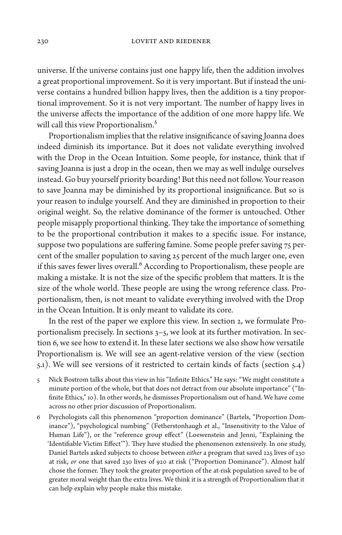universe. If the universe contains just one happy life, then the addition involves a great proportional improvement. So it is very important. But if instead the universe contains a hundred billion happy lives, then the addition is a tiny proportional improvement. So it is not very important. The number of happy lives in the universe affects the importance of the addition of one more happy life. We will call this view Proportionalism.<sup>5</sup>

Proportionalism implies that the relative insignificance of saving Joanna does indeed diminish its importance. But it does not validate everything involved with the Drop in the Ocean Intuition. Some people, for instance, think that if saving Joanna is just a drop in the ocean, then we may as well indulge ourselves instead. Go buy yourself priority boarding! But this need not follow. Your reason to save Joanna may be diminished by its proportional insignificance. But so is your reason to indulge yourself. And they are diminished in proportion to their original weight. So, the relative dominance of the former is untouched. Other people misapply proportional thinking. They take the importance of something to be the proportional contribution it makes to a specific issue. For instance, suppose two populations are suffering famine. Some people prefer saving 75 percent of the smaller population to saving 25 percent of the much larger one, even if this saves fewer lives overall.<sup>6</sup> According to Proportionalism, these people are making a mistake. It is not the size of the specific problem that matters. It is the size of the whole world. These people are using the wrong reference class. Proportionalism, then, is not meant to validate everything involved with the Drop in the Ocean Intuition. It is only meant to validate its core.

In the rest of the paper we explore this view. In section 2, we formulate Proportionalism precisely. In sections 3–5, we look at its further motivation. In section 6, we see how to extend it. In these later sections we also show how versatile Proportionalism is. We will see an agent-relative version of the view (section 5.1). We will see versions of it restricted to certain kinds of facts (section 5.4)

- 5 Nick Bostrom talks about this view in his "Infinite Ethics." He says: "We might constitute a minute portion of the whole, but that does not detract from our absolute importance" ("Infinite Ethics," 10). In other words, he dismisses Proportionalism out of hand. We have come across no other prior discussion of Proportionalism.
- 6 Psychologists call this phenomenon "proportion dominance" (Bartels, "Proportion Dominance"), "psychological numbing" (Fetherstonhaugh et al., "Insensitivity to the Value of Human Life"), or the "reference group effect" (Loewenstein and Jenni, "Explaining the 'Identifiable Victim Effect'"). They have studied the phenomenon extensively. In one study, Daniel Bartels asked subjects to choose between *either* a program that saved 225 lives of 230 at risk, *or* one that saved 230 lives of 920 at risk ("Proportion Dominance"). Almost half chose the former. They took the greater proportion of the at-risk population saved to be of greater moral weight than the extra lives. We think it is a strength of Proportionalism that it can help explain why people make this mistake.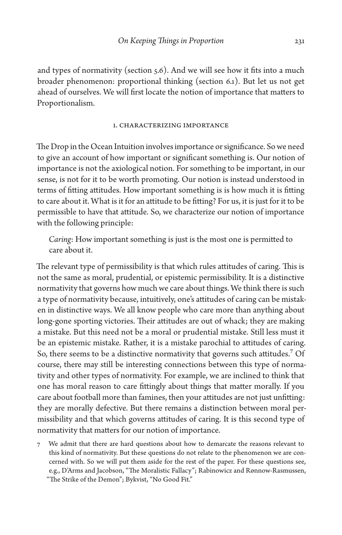and types of normativity (section 5.6). And we will see how it fits into a much broader phenomenon: proportional thinking (section 6.1). But let us not get ahead of ourselves. We will first locate the notion of importance that matters to Proportionalism.

## 1. Characterizing Importance

The Drop in the Ocean Intuition involves importance or significance. So we need to give an account of how important or significant something is. Our notion of importance is not the axiological notion. For something to be important, in our sense, is not for it to be worth promoting. Our notion is instead understood in terms of fitting attitudes. How important something is is how much it is fitting to care about it. What is it for an attitude to be fitting? For us, it is just for it to be permissible to have that attitude. So, we characterize our notion of importance with the following principle:

*Caring*: How important something is just is the most one is permitted to care about it.

The relevant type of permissibility is that which rules attitudes of caring. This is not the same as moral, prudential, or epistemic permissibility. It is a distinctive normativity that governs how much we care about things. We think there is such a type of normativity because, intuitively, one's attitudes of caring can be mistaken in distinctive ways. We all know people who care more than anything about long-gone sporting victories. Their attitudes are out of whack; they are making a mistake. But this need not be a moral or prudential mistake. Still less must it be an epistemic mistake. Rather, it is a mistake parochial to attitudes of caring. So, there seems to be a distinctive normativity that governs such attitudes.<sup>7</sup> Of course, there may still be interesting connections between this type of normativity and other types of normativity. For example, we are inclined to think that one has moral reason to care fittingly about things that matter morally. If you care about football more than famines, then your attitudes are not just unfitting: they are morally defective. But there remains a distinction between moral permissibility and that which governs attitudes of caring. It is this second type of normativity that matters for our notion of importance.

7 We admit that there are hard questions about how to demarcate the reasons relevant to this kind of normativity. But these questions do not relate to the phenomenon we are concerned with. So we will put them aside for the rest of the paper. For these questions see, e.g., D'Arms and Jacobson, "The Moralistic Fallacy"; Rabinowicz and Rønnow-Rasmussen, "The Strike of the Demon"; Bykvist, "No Good Fit."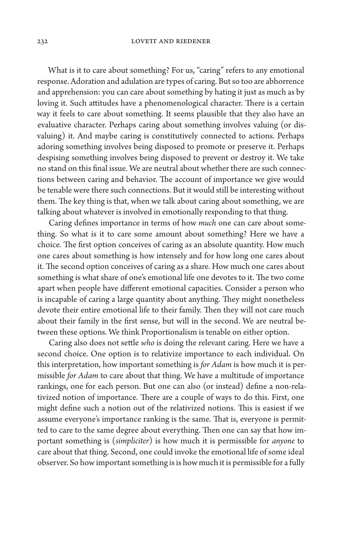What is it to care about something? For us, "caring" refers to any emotional response. Adoration and adulation are types of caring. But so too are abhorrence and apprehension: you can care about something by hating it just as much as by loving it. Such attitudes have a phenomenological character. There is a certain way it feels to care about something. It seems plausible that they also have an evaluative character. Perhaps caring about something involves valuing (or disvaluing) it. And maybe caring is constitutively connected to actions. Perhaps adoring something involves being disposed to promote or preserve it. Perhaps despising something involves being disposed to prevent or destroy it. We take no stand on this final issue. We are neutral about whether there are such connections between caring and behavior. The account of importance we give would be tenable were there such connections. But it would still be interesting without them. The key thing is that, when we talk about caring about something, we are talking about whatever is involved in emotionally responding to that thing.

Caring defines importance in terms of how *much* one can care about something. So what is it to care some amount about something? Here we have a choice. The first option conceives of caring as an absolute quantity. How much one cares about something is how intensely and for how long one cares about it. The second option conceives of caring as a share. How much one cares about something is what share of one's emotional life one devotes to it. The two come apart when people have different emotional capacities. Consider a person who is incapable of caring a large quantity about anything. They might nonetheless devote their entire emotional life to their family. Then they will not care much about their family in the first sense, but will in the second. We are neutral between these options. We think Proportionalism is tenable on either option.

Caring also does not settle *who* is doing the relevant caring. Here we have a second choice. One option is to relativize importance to each individual. On this interpretation, how important something is *for Adam* is how much it is permissible *for Adam* to care about that thing. We have a multitude of importance rankings, one for each person. But one can also (or instead) define a non-relativized notion of importance. There are a couple of ways to do this. First, one might define such a notion out of the relativized notions. This is easiest if we assume everyone's importance ranking is the same. That is, everyone is permitted to care to the same degree about everything. Then one can say that how important something is (*simpliciter*) is how much it is permissible for *anyone* to care about that thing. Second, one could invoke the emotional life of some ideal observer. So how important something is is how much it is permissible for a fully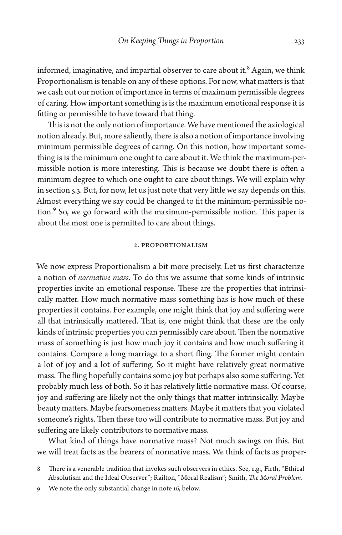informed, imaginative, and impartial observer to care about it.<sup>8</sup> Again, we think Proportionalism is tenable on any of these options. For now, what matters is that we cash out our notion of importance in terms of maximum permissible degrees of caring. How important something is is the maximum emotional response it is fitting or permissible to have toward that thing.

This is not the only notion of importance. We have mentioned the axiological notion already. But, more saliently, there is also a notion of importance involving minimum permissible degrees of caring. On this notion, how important something is is the minimum one ought to care about it. We think the maximum-permissible notion is more interesting. This is because we doubt there is often a minimum degree to which one ought to care about things. We will explain why in section 5.3. But, for now, let us just note that very little we say depends on this. Almost everything we say could be changed to fit the minimum-permissible notion.<sup>9</sup> So, we go forward with the maximum-permissible notion. This paper is about the most one is permitted to care about things.

#### 2. Proportionalism

We now express Proportionalism a bit more precisely. Let us first characterize a notion of *normative mass*. To do this we assume that some kinds of intrinsic properties invite an emotional response. These are the properties that intrinsically matter. How much normative mass something has is how much of these properties it contains. For example, one might think that joy and suffering were all that intrinsically mattered. That is, one might think that these are the only kinds of intrinsic properties you can permissibly care about. Then the normative mass of something is just how much joy it contains and how much suffering it contains. Compare a long marriage to a short fling. The former might contain a lot of joy and a lot of suffering. So it might have relatively great normative mass. The fling hopefully contains some joy but perhaps also some suffering. Yet probably much less of both. So it has relatively little normative mass. Of course, joy and suffering are likely not the only things that matter intrinsically. Maybe beauty matters. Maybe fearsomeness matters. Maybe it matters that you violated someone's rights. Then these too will contribute to normative mass. But joy and suffering are likely contributors to normative mass.

What kind of things have normative mass? Not much swings on this. But we will treat facts as the bearers of normative mass. We think of facts as proper-

9 We note the only substantial change in note 16, below.

There is a venerable tradition that invokes such observers in ethics. See, e.g., Firth, "Ethical Absolutism and the Ideal Observer"; Railton, "Moral Realism"; Smith, *The Moral Problem*.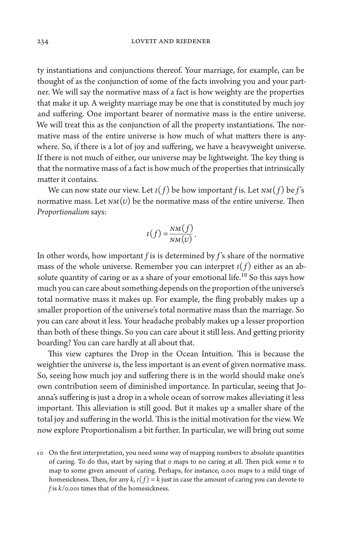ty instantiations and conjunctions thereof. Your marriage, for example, can be thought of as the conjunction of some of the facts involving you and your partner. We will say the normative mass of a fact is how weighty are the properties that make it up. A weighty marriage may be one that is constituted by much joy and suffering. One important bearer of normative mass is the entire universe. We will treat this as the conjunction of all the property instantiations. The normative mass of the entire universe is how much of what matters there is anywhere. So, if there is a lot of joy and suffering, we have a heavyweight universe. If there is not much of either, our universe may be lightweight. The key thing is that the normative mass of a fact is how much of the properties that intrinsically matter it contains.

We can now state our view. Let *I*(*f*) be how important *f* is. Let *NM*(*f*) be *f*'s normative mass. Let  $NM(U)$  be the normative mass of the entire universe. Then *Proportionalism* says:

$$
I(f) = \frac{NM(f)}{NM(U)}.
$$

In other words, how important *f* is is determined by *f* 's share of the normative mass of the whole universe. Remember you can interpret  $I(f)$  either as an absolute quantity of caring or as a share of your emotional life.<sup>10</sup> So this says how much you can care about something depends on the proportion of the universe's total normative mass it makes up. For example, the fling probably makes up a smaller proportion of the universe's total normative mass than the marriage. So you can care about it less. Your headache probably makes up a lesser proportion than both of these things. So you can care about it still less. And getting priority boarding? You can care hardly at all about that.

This view captures the Drop in the Ocean Intuition. This is because the weightier the universe is, the less important is an event of given normative mass. So, seeing how much joy and suffering there is in the world should make one's own contribution seem of diminished importance. In particular, seeing that Joanna's suffering is just a drop in a whole ocean of sorrow makes alleviating it less important. This alleviation is still good. But it makes up a smaller share of the total joy and suffering in the world. This is the initial motivation for the view. We now explore Proportionalism a bit further. In particular, we will bring out some

<sup>10</sup> On the first interpretation, you need some way of mapping numbers to absolute quantities of caring. To do this, start by saying that  $\circ$  maps to no caring at all. Then pick some  $n$  to map to some given amount of caring. Perhaps, for instance, 0.001 maps to a mild tinge of homesickness. Then, for any  $k$ ,  $I(f) = k$  just in case the amount of caring you can devote to *f* is *k*/0.001 times that of the homesickness.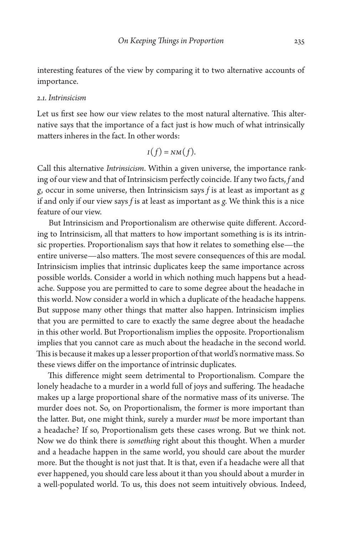interesting features of the view by comparing it to two alternative accounts of importance.

## *2.1. Intrinsicism*

Let us first see how our view relates to the most natural alternative. This alternative says that the importance of a fact just is how much of what intrinsically matters inheres in the fact. In other words:

$$
I(f)=NM(f).
$$

Call this alternative *Intrinsicism*. Within a given universe, the importance ranking of our view and that of Intrinsicism perfectly coincide. If any two facts, *f* and *g*, occur in some universe, then Intrinsicism says *f* is at least as important as *g*  if and only if our view says *f* is at least as important as *g*. We think this is a nice feature of our view.

But Intrinsicism and Proportionalism are otherwise quite different. According to Intrinsicism, all that matters to how important something is is its intrinsic properties. Proportionalism says that how it relates to something else—the entire universe—also matters. The most severe consequences of this are modal. Intrinsicism implies that intrinsic duplicates keep the same importance across possible worlds. Consider a world in which nothing much happens but a headache. Suppose you are permitted to care to some degree about the headache in this world. Now consider a world in which a duplicate of the headache happens. But suppose many other things that matter also happen. Intrinsicism implies that you are permitted to care to exactly the same degree about the headache in this other world. But Proportionalism implies the opposite. Proportionalism implies that you cannot care as much about the headache in the second world. This is because it makes up a lesser proportion of that world's normative mass. So these views differ on the importance of intrinsic duplicates.

This difference might seem detrimental to Proportionalism. Compare the lonely headache to a murder in a world full of joys and suffering. The headache makes up a large proportional share of the normative mass of its universe. The murder does not. So, on Proportionalism, the former is more important than the latter. But, one might think, surely a murder *must* be more important than a headache? If so, Proportionalism gets these cases wrong. But we think not. Now we do think there is *something* right about this thought. When a murder and a headache happen in the same world, you should care about the murder more. But the thought is not just that. It is that, even if a headache were all that ever happened, you should care less about it than you should about a murder in a well-populated world. To us, this does not seem intuitively obvious. Indeed,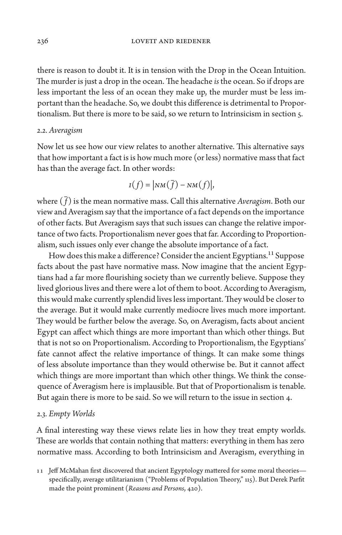there is reason to doubt it. It is in tension with the Drop in the Ocean Intuition. The murder is just a drop in the ocean. The headache *is* the ocean. So if drops are less important the less of an ocean they make up, the murder must be less important than the headache. So, we doubt this difference is detrimental to Proportionalism. But there is more to be said, so we return to Intrinsicism in section 5.

## *2.2. Averagism*

Now let us see how our view relates to another alternative. This alternative says that how important a fact is is how much more (or less) normative mass that fact has than the average fact. In other words:

$$
I(f) = |NM(\overline{f}) - NM(f)|,
$$

where  $(\bar{f})$  is the mean normative mass. Call this alternative *Averagism*. Both our view and Averagism say that the importance of a fact depends on the importance of other facts. But Averagism says that such issues can change the relative importance of two facts. Proportionalism never goes that far. According to Proportionalism, such issues only ever change the absolute importance of a fact.

How does this make a difference? Consider the ancient Egyptians.<sup>11</sup> Suppose facts about the past have normative mass. Now imagine that the ancient Egyptians had a far more flourishing society than we currently believe. Suppose they lived glorious lives and there were a lot of them to boot. According to Averagism, this would make currently splendid lives less important. They would be closer to the average. But it would make currently mediocre lives much more important. They would be further below the average. So, on Averagism, facts about ancient Egypt can affect which things are more important than which other things. But that is not so on Proportionalism. According to Proportionalism, the Egyptians' fate cannot affect the relative importance of things. It can make some things of less absolute importance than they would otherwise be. But it cannot affect which things are more important than which other things. We think the consequence of Averagism here is implausible. But that of Proportionalism is tenable. But again there is more to be said. So we will return to the issue in section 4.

## *2.3. Empty Worlds*

A final interesting way these views relate lies in how they treat empty worlds. These are worlds that contain nothing that matters: everything in them has zero normative mass. According to both Intrinsicism and Averagism, everything in

<sup>11</sup> Jeff McMahan first discovered that ancient Egyptology mattered for some moral theories specifically, average utilitarianism ("Problems of Population Theory," 115). But Derek Parfit made the point prominent (*Reasons and Persons*, 420).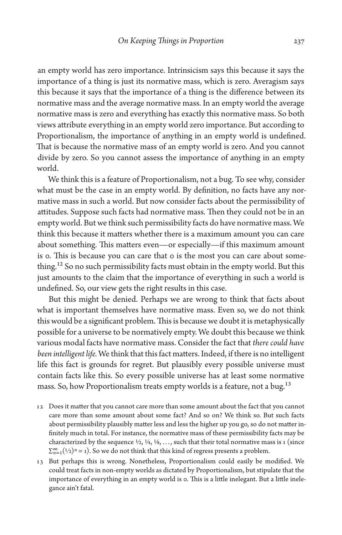an empty world has zero importance. Intrinsicism says this because it says the importance of a thing is just its normative mass, which is zero. Averagism says this because it says that the importance of a thing is the difference between its normative mass and the average normative mass. In an empty world the average normative mass is zero and everything has exactly this normative mass. So both views attribute everything in an empty world zero importance. But according to Proportionalism, the importance of anything in an empty world is undefined. That is because the normative mass of an empty world is zero. And you cannot divide by zero. So you cannot assess the importance of anything in an empty world.

We think this is a feature of Proportionalism, not a bug. To see why, consider what must be the case in an empty world. By definition, no facts have any normative mass in such a world. But now consider facts about the permissibility of attitudes. Suppose such facts had normative mass. Then they could not be in an empty world. But we think such permissibility facts do have normative mass. We think this because it matters whether there is a maximum amount you can care about something. This matters even—or especially—if this maximum amount is 0. This is because you can care that 0 is the most you can care about something.<sup>12</sup> So no such permissibility facts must obtain in the empty world. But this just amounts to the claim that the importance of everything in such a world is undefined. So, our view gets the right results in this case.

But this might be denied. Perhaps we are wrong to think that facts about what is important themselves have normative mass. Even so, we do not think this would be a significant problem. This is because we doubt it is metaphysically possible for a universe to be normatively empty. We doubt this because we think various modal facts have normative mass. Consider the fact that *there could have been intelligent life.* We think that this fact matters. Indeed, if there is no intelligent life this fact is grounds for regret. But plausibly every possible universe must contain facts like this. So every possible universe has at least some normative mass. So, how Proportionalism treats empty worlds is a feature, not a bug.<sup>13</sup>

- 12 Does it matter that you cannot care more than some amount about the fact that you cannot care more than some amount about some fact? And so on? We think so. But such facts about permissibility plausibly matter less and less the higher up you go, so do not matter infinitely much in total. For instance, the normative mass of these permissibility facts may be characterized by the sequence  $\frac{1}{2}$ ,  $\frac{1}{4}$ ,  $\frac{1}{8}$ , ..., such that their total normative mass is 1 (since  $\sum_{n=1}^{\infty} (1/2)^n = 1$ ). So we do not think that this kind of regress presents a problem.
- 13 But perhaps this is wrong. Nonetheless, Proportionalism could easily be modified. We could treat facts in non-empty worlds as dictated by Proportionalism, but stipulate that the importance of everything in an empty world is 0. This is a little inelegant. But a little inelegance ain't fatal.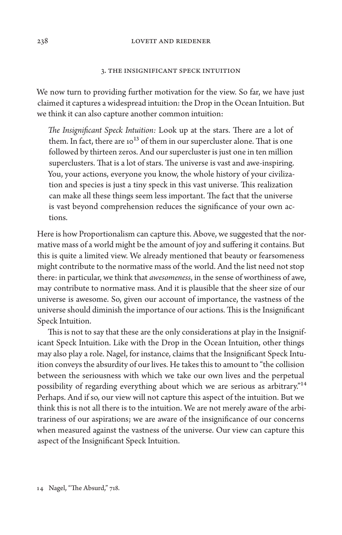#### 238 LOVETT AND RIEDENER

#### 3. The Insignificant Speck Intuition

We now turn to providing further motivation for the view. So far, we have just claimed it captures a widespread intuition: the Drop in the Ocean Intuition. But we think it can also capture another common intuition:

*The Insignificant Speck Intuition:* Look up at the stars. There are a lot of them. In fact, there are  $10^{13}$  of them in our supercluster alone. That is one followed by thirteen zeros. And our supercluster is just one in ten million superclusters. That is a lot of stars. The universe is vast and awe-inspiring. You, your actions, everyone you know, the whole history of your civilization and species is just a tiny speck in this vast universe. This realization can make all these things seem less important. The fact that the universe is vast beyond comprehension reduces the significance of your own actions.

Here is how Proportionalism can capture this. Above, we suggested that the normative mass of a world might be the amount of joy and suffering it contains. But this is quite a limited view. We already mentioned that beauty or fearsomeness might contribute to the normative mass of the world. And the list need not stop there: in particular, we think that *awesomeness*, in the sense of worthiness of awe, may contribute to normative mass. And it is plausible that the sheer size of our universe is awesome. So, given our account of importance, the vastness of the universe should diminish the importance of our actions. This is the Insignificant Speck Intuition.

This is not to say that these are the only considerations at play in the Insignificant Speck Intuition. Like with the Drop in the Ocean Intuition, other things may also play a role. Nagel, for instance, claims that the Insignificant Speck Intuition conveys the absurdity of our lives. He takes this to amount to "the collision between the seriousness with which we take our own lives and the perpetual possibility of regarding everything about which we are serious as arbitrary."14 Perhaps. And if so, our view will not capture this aspect of the intuition. But we think this is not all there is to the intuition. We are not merely aware of the arbitrariness of our aspirations; we are aware of the insignificance of our concerns when measured against the vastness of the universe. Our view can capture this aspect of the Insignificant Speck Intuition.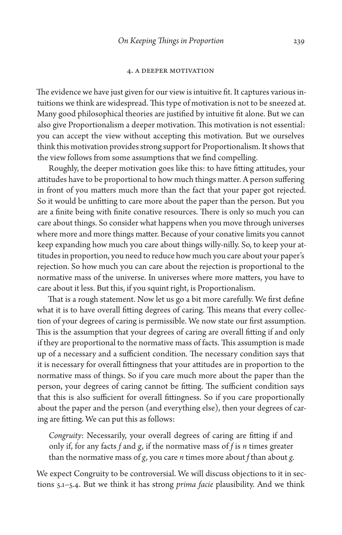#### 4. A Deeper Motivation

The evidence we have just given for our view is intuitive fit. It captures various intuitions we think are widespread. This type of motivation is not to be sneezed at. Many good philosophical theories are justified by intuitive fit alone. But we can also give Proportionalism a deeper motivation. This motivation is not essential: you can accept the view without accepting this motivation. But we ourselves think this motivation provides strong support for Proportionalism. It shows that the view follows from some assumptions that we find compelling.

Roughly, the deeper motivation goes like this: to have fitting attitudes, your attitudes have to be proportional to how much things matter. A person suffering in front of you matters much more than the fact that your paper got rejected. So it would be unfitting to care more about the paper than the person. But you are a finite being with finite conative resources. There is only so much you can care about things. So consider what happens when you move through universes where more and more things matter. Because of your conative limits you cannot keep expanding how much you care about things willy-nilly. So, to keep your attitudes in proportion, you need to reduce how much you care about your paper's rejection. So how much you can care about the rejection is proportional to the normative mass of the universe. In universes where more matters, you have to care about it less. But this, if you squint right, is Proportionalism.

That is a rough statement. Now let us go a bit more carefully. We first define what it is to have overall fitting degrees of caring. This means that every collection of your degrees of caring is permissible. We now state our first assumption. This is the assumption that your degrees of caring are overall fitting if and only if they are proportional to the normative mass of facts. This assumption is made up of a necessary and a sufficient condition. The necessary condition says that it is necessary for overall fittingness that your attitudes are in proportion to the normative mass of things. So if you care much more about the paper than the person, your degrees of caring cannot be fitting. The sufficient condition says that this is also sufficient for overall fittingness. So if you care proportionally about the paper and the person (and everything else), then your degrees of caring are fitting. We can put this as follows:

*Congruity*: Necessarily, your overall degrees of caring are fitting if and only if, for any facts *f* and *g*, if the normative mass of *f* is *n* times greater than the normative mass of *g*, you care *n* times more about *f* than about *g*.

We expect Congruity to be controversial. We will discuss objections to it in sections 5.1–5.4. But we think it has strong *prima facie* plausibility. And we think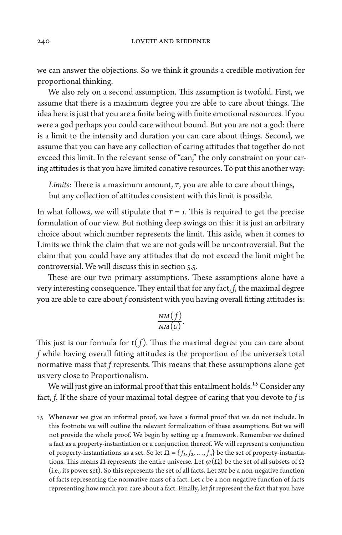we can answer the objections. So we think it grounds a credible motivation for proportional thinking.

We also rely on a second assumption. This assumption is twofold. First, we assume that there is a maximum degree you are able to care about things. The idea here is just that you are a finite being with finite emotional resources. If you were a god perhaps you could care without bound. But you are not a god: there is a limit to the intensity and duration you can care about things. Second, we assume that you can have any collection of caring attitudes that together do not exceed this limit. In the relevant sense of "can," the only constraint on your caring attitudes is that you have limited conative resources. To put this another way:

*Limits*: There is a maximum amount, *T*, you are able to care about things, but any collection of attitudes consistent with this limit is possible.

In what follows, we will stipulate that  $T = 1$ . This is required to get the precise formulation of our view. But nothing deep swings on this: it is just an arbitrary choice about which number represents the limit. This aside, when it comes to Limits we think the claim that we are not gods will be uncontroversial. But the claim that you could have any attitudes that do not exceed the limit might be controversial. We will discuss this in section 5.5.

These are our two primary assumptions. These assumptions alone have a very interesting consequence. They entail that for any fact, *f*, the maximal degree you are able to care about *f* consistent with you having overall fitting attitudes is:

$$
\frac{NM(f)}{NM(U)}.
$$

This just is our formula for  $I(f)$ . Thus the maximal degree you can care about *f* while having overall fitting attitudes is the proportion of the universe's total normative mass that *f* represents. This means that these assumptions alone get us very close to Proportionalism.

We will just give an informal proof that this entailment holds.<sup>15</sup> Consider any fact, *f*. If the share of your maximal total degree of caring that you devote to *f* is

15 Whenever we give an informal proof, we have a formal proof that we do not include. In this footnote we will outline the relevant formalization of these assumptions. But we will not provide the whole proof. We begin by setting up a framework. Remember we defined a fact as a property-instantiation or a conjunction thereof. We will represent a conjunction of property-instantiations as a set. So let  $\Omega = \{f_1, f_2, ..., f_n\}$  be the set of property-instantiations. This means  $\Omega$  represents the entire universe. Let  $\wp(\Omega)$  be the set of all subsets of  $\Omega$ (i.e., its power set). So this represents the set of all facts. Let *NM* be a non-negative function of facts representing the normative mass of a fact. Let *c* be a non-negative function of facts representing how much you care about a fact. Finally, let *fit* represent the fact that you have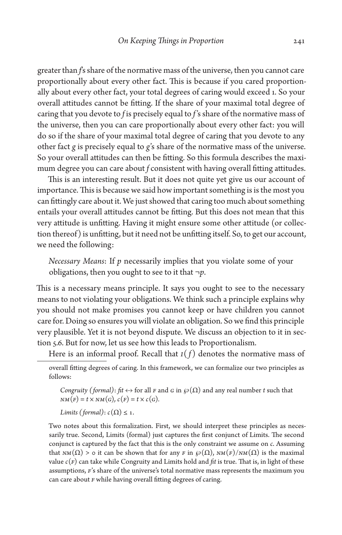greater than *f*'s share of the normative mass of the universe, then you cannot care proportionally about every other fact. This is because if you cared proportionally about every other fact, your total degrees of caring would exceed 1. So your overall attitudes cannot be fitting. If the share of your maximal total degree of caring that you devote to *f* is precisely equal to *f*'s share of the normative mass of the universe, then you can care proportionally about every other fact: you will do so if the share of your maximal total degree of caring that you devote to any other fact *g* is precisely equal to *g*'s share of the normative mass of the universe. So your overall attitudes can then be fitting. So this formula describes the maximum degree you can care about *f* consistent with having overall fitting attitudes.

This is an interesting result. But it does not quite yet give us our account of importance. This is because we said how important something is is the most you can fittingly care about it. We just showed that caring too much about something entails your overall attitudes cannot be fitting. But this does not mean that this very attitude is unfitting. Having it might ensure some other attitude (or collection thereof) is unfitting, but it need not be unfitting itself. So, to get our account, we need the following:

*Necessary Means*: If *p* necessarily implies that you violate some of your obligations, then you ought to see to it that ¬*p*.

This is a necessary means principle. It says you ought to see to the necessary means to not violating your obligations. We think such a principle explains why you should not make promises you cannot keep or have children you cannot care for. Doing so ensures you will violate an obligation. So we find this principle very plausible. Yet it is not beyond dispute. We discuss an objection to it in section 5.6. But for now, let us see how this leads to Proportionalism.

Here is an informal proof. Recall that  $I(f)$  denotes the normative mass of

*Congruity (formal): fit*  $\leftrightarrow$  for all *F* and *G* in  $\wp(\Omega)$  and any real number *t* such that  $NM(F) = t \times NM(G), c(F) = t \times c(G).$ 

*Limits (formal)*:  $c(\Omega) \leq 1$ .

Two notes about this formalization. First, we should interpret these principles as necessarily true. Second, Limits (formal) just captures the first conjunct of Limits. The second conjunct is captured by the fact that this is the only constraint we assume on *c*. Assuming that *NM*( $Ω$ ) > ο it can be shown that for any *F* in  $\wp(Ω)$ , *NM*( $F$ )/*NM*( $Ω$ ) is the maximal value  $c(F)$  can take while Congruity and Limits hold and *fit* is true. That is, in light of these assumptions, *F*'s share of the universe's total normative mass represents the maximum you can care about *F* while having overall fitting degrees of caring.

overall fitting degrees of caring. In this framework, we can formalize our two principles as follows: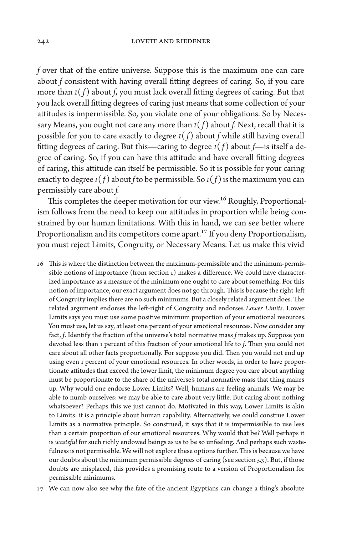*f* over that of the entire universe. Suppose this is the maximum one can care about *f* consistent with having overall fitting degrees of caring. So, if you care more than *I*( *f* ) about *f*, you must lack overall fitting degrees of caring. But that you lack overall fitting degrees of caring just means that some collection of your attitudes is impermissible. So, you violate one of your obligations. So by Necessary Means, you ought not care any more than  $I(f)$  about *f*. Next, recall that it is possible for you to care exactly to degree  $I(f)$  about *f* while still having overall fitting degrees of caring. But this—caring to degree  $I(f)$  about  $f$ —is itself a degree of caring. So, if you can have this attitude and have overall fitting degrees of caring, this attitude can itself be permissible. So it is possible for your caring exactly to degree  $I(f)$  about *f* to be permissible. So  $I(f)$  is the maximum you can permissibly care about *f.*

This completes the deeper motivation for our view.<sup>16</sup> Roughly, Proportionalism follows from the need to keep our attitudes in proportion while being constrained by our human limitations. With this in hand, we can see better where Proportionalism and its competitors come apart.<sup>17</sup> If you deny Proportionalism, you must reject Limits, Congruity, or Necessary Means. Let us make this vivid

- 16 This is where the distinction between the maximum-permissible and the minimum-permissible notions of importance (from section 1) makes a difference. We could have characterized importance as a measure of the minimum one ought to care about something. For this notion of importance, our exact argument does not go through. This is because the right-left of Congruity implies there are no such minimums. But a closely related argument does. The related argument endorses the left-right of Congruity and endorses *Lower Limits*. Lower Limits says you must use some positive minimum proportion of your emotional resources. You must use, let us say, at least one percent of your emotional resources. Now consider any fact, *f*. Identify the fraction of the universe's total normative mass *f* makes up. Suppose you devoted less than 1 percent of this fraction of your emotional life to *f*. Then you could not care about all other facts proportionally. For suppose you did. Then you would not end up using even 1 percent of your emotional resources. In other words, in order to have proportionate attitudes that exceed the lower limit, the minimum degree you care about anything must be proportionate to the share of the universe's total normative mass that thing makes up. Why would one endorse Lower Limits? Well, humans are feeling animals. We may be able to numb ourselves: we may be able to care about very little. But caring about nothing whatsoever? Perhaps this we just cannot do. Motivated in this way, Lower Limits is akin to Limits: it is a principle about human capability. Alternatively, we could construe Lower Limits as a normative principle. So construed, it says that it is impermissible to use less than a certain proportion of our emotional resources. Why would that be? Well perhaps it is *wasteful* for such richly endowed beings as us to be so unfeeling. And perhaps such wastefulness is not permissible. We will not explore these options further. This is because we have our doubts about the minimum permissible degrees of caring (see section 5.3). But, if those doubts are misplaced, this provides a promising route to a version of Proportionalism for permissible minimums.
- 17 We can now also see why the fate of the ancient Egyptians can change a thing's absolute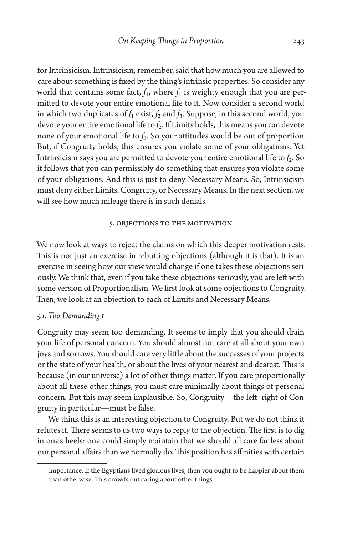for Intrinsicism. Intrinsicism, remember, said that how much you are allowed to care about something is fixed by the thing's intrinsic properties. So consider any world that contains some fact,  $f_1$ , where  $f_1$  is weighty enough that you are permitted to devote your entire emotional life to it. Now consider a second world in which two duplicates of  $f_1$  exist,  $f_2$  and  $f_3$ . Suppose, in this second world, you devote your entire emotional life to *f*2. If Limits holds, this means you can devote none of your emotional life to *f*3. So your attitudes would be out of proportion. But, if Congruity holds, this ensures you violate some of your obligations. Yet Intrinsicism says you are permitted to devote your entire emotional life to  $f_2$ . So it follows that you can permissibly do something that ensures you violate some of your obligations. And this is just to deny Necessary Means. So, Intrinsicism must deny either Limits, Congruity, or Necessary Means. In the next section, we will see how much mileage there is in such denials.

# 5. Objections to the Motivation

We now look at ways to reject the claims on which this deeper motivation rests. This is not just an exercise in rebutting objections (although it is that). It is an exercise in seeing how our view would change if one takes these objections seriously. We think that, even if you take these objections seriously, you are left with some version of Proportionalism. We first look at some objections to Congruity. Then, we look at an objection to each of Limits and Necessary Means.

# *5.1. Too Demanding I*

Congruity may seem too demanding. It seems to imply that you should drain your life of personal concern. You should almost not care at all about your own joys and sorrows. You should care very little about the successes of your projects or the state of your health, or about the lives of your nearest and dearest. This is because (in our universe) a lot of other things matter. If you care proportionally about all these other things, you must care minimally about things of personal concern. But this may seem implausible. So, Congruity—the left–right of Congruity in particular—must be false.

We think this is an interesting objection to Congruity. But we do not think it refutes it. There seems to us two ways to reply to the objection. The first is to dig in one's heels: one could simply maintain that we should all care far less about our personal affairs than we normally do. This position has affinities with certain

importance. If the Egyptians lived glorious lives, then you ought to be happier about them than otherwise. This crowds out caring about other things.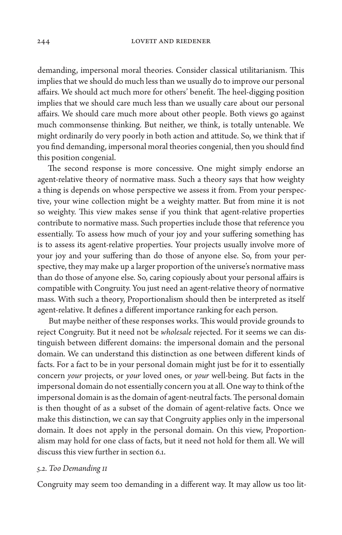demanding, impersonal moral theories. Consider classical utilitarianism. This implies that we should do much less than we usually do to improve our personal affairs. We should act much more for others' benefit. The heel-digging position implies that we should care much less than we usually care about our personal affairs. We should care much more about other people. Both views go against much commonsense thinking. But neither, we think, is totally untenable. We might ordinarily do very poorly in both action and attitude. So, we think that if you find demanding, impersonal moral theories congenial, then you should find this position congenial.

The second response is more concessive. One might simply endorse an agent-relative theory of normative mass. Such a theory says that how weighty a thing is depends on whose perspective we assess it from. From your perspective, your wine collection might be a weighty matter. But from mine it is not so weighty. This view makes sense if you think that agent-relative properties contribute to normative mass. Such properties include those that reference you essentially. To assess how much of your joy and your suffering something has is to assess its agent-relative properties. Your projects usually involve more of your joy and your suffering than do those of anyone else. So, from your perspective, they may make up a larger proportion of the universe's normative mass than do those of anyone else. So, caring copiously about your personal affairs is compatible with Congruity. You just need an agent-relative theory of normative mass. With such a theory, Proportionalism should then be interpreted as itself agent-relative. It defines a different importance ranking for each person.

But maybe neither of these responses works. This would provide grounds to reject Congruity. But it need not be *wholesale* rejected. For it seems we can distinguish between different domains: the impersonal domain and the personal domain. We can understand this distinction as one between different kinds of facts. For a fact to be in your personal domain might just be for it to essentially concern *your* projects, or *your* loved ones, or *your* well-being. But facts in the impersonal domain do not essentially concern you at all. One way to think of the impersonal domain is as the domain of agent-neutral facts. The personal domain is then thought of as a subset of the domain of agent-relative facts. Once we make this distinction, we can say that Congruity applies only in the impersonal domain. It does not apply in the personal domain. On this view, Proportionalism may hold for one class of facts, but it need not hold for them all. We will discuss this view further in section 6.1.

# *5.2. Too Demanding II*

Congruity may seem too demanding in a different way. It may allow us too lit-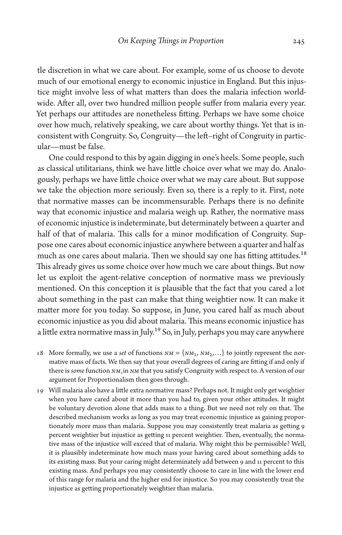tle discretion in what we care about. For example, some of us choose to devote much of our emotional energy to economic injustice in England. But this injustice might involve less of what matters than does the malaria infection worldwide. After all, over two hundred million people suffer from malaria every year. Yet perhaps our attitudes are nonetheless fitting. Perhaps we have some choice over how much, relatively speaking, we care about worthy things. Yet that is inconsistent with Congruity. So, Congruity—the left–right of Congruity in particular—must be false.

One could respond to this by again digging in one's heels. Some people, such as classical utilitarians, think we have little choice over what we may do. Analogously, perhaps we have little choice over what we may care about. But suppose we take the objection more seriously. Even so, there is a reply to it. First, note that normative masses can be incommensurable. Perhaps there is no definite way that economic injustice and malaria weigh up. Rather, the normative mass of economic injustice is indeterminate, but determinately between a quarter and half of that of malaria. This calls for a minor modification of Congruity. Suppose one cares about economic injustice anywhere between a quarter and half as much as one cares about malaria. Then we should say one has fitting attitudes.<sup>18</sup> This already gives us some choice over how much we care about things. But now let us exploit the agent-relative conception of normative mass we previously mentioned. On this conception it is plausible that the fact that you cared a lot about something in the past can make that thing weightier now. It can make it matter more for you today. So suppose, in June, you cared half as much about economic injustice as you did about malaria. This means economic injustice has a little extra normative mass in July.<sup>19</sup> So, in July, perhaps you may care anywhere

- 18 More formally, we use a *set* of functions  $NM = \{NM_1, NM_2, ...\}$  to jointly represent the normative mass of facts. We then say that your overall degrees of caring are fitting if and only if there is *some* function *NMi* in *NM* that you satisfy Congruity with respect to. A version of our argument for Proportionalism then goes through.
- 19 Will malaria also have a little extra normative mass? Perhaps not. It might only get weightier when you have cared about it more than you had to, given your other attitudes. It might be voluntary devotion alone that adds mass to a thing. But we need not rely on that. The described mechanism works as long as you may treat economic injustice as gaining proportionately more mass than malaria. Suppose you may consistently treat malaria as getting 9 percent weightier but injustice as getting 11 percent weightier. Then, eventually, the normative mass of the injustice will exceed that of malaria. Why might this be permissible? Well, it is plausibly indeterminate how much mass your having cared about something adds to its existing mass. But your caring might determinately add between 9 and 11 percent to this existing mass. And perhaps you may consistently choose to care in line with the lower end of this range for malaria and the higher end for injustice. So you may consistently treat the injustice as getting proportionately weightier than malaria.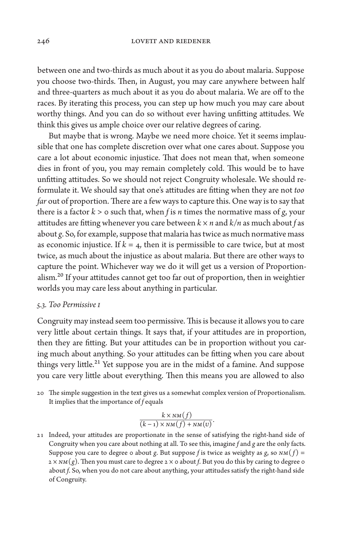between one and two-thirds as much about it as you do about malaria. Suppose you choose two-thirds. Then, in August, you may care anywhere between half and three-quarters as much about it as you do about malaria. We are off to the races. By iterating this process, you can step up how much you may care about worthy things. And you can do so without ever having unfitting attitudes. We think this gives us ample choice over our relative degrees of caring.

But maybe that is wrong. Maybe we need more choice. Yet it seems implausible that one has complete discretion over what one cares about. Suppose you care a lot about economic injustice. That does not mean that, when someone dies in front of you, you may remain completely cold. This would be to have unfitting attitudes. So we should not reject Congruity wholesale. We should reformulate it. We should say that one's attitudes are fitting when they are not *too far* out of proportion. There are a few ways to capture this. One way is to say that there is a factor  $k > o$  such that, when *f* is *n* times the normative mass of *g*, your attitudes are fitting whenever you care between  $k \times n$  and  $k/n$  as much about f as about *g*. So, for example, suppose that malaria has twice as much normative mass as economic injustice. If  $k = 4$ , then it is permissible to care twice, but at most twice, as much about the injustice as about malaria. But there are other ways to capture the point. Whichever way we do it will get us a version of Proportionalism.<sup>20</sup> If your attitudes cannot get too far out of proportion, then in weightier worlds you may care less about anything in particular.

### *5.3. Too Permissive I*

Congruity may instead seem too permissive. This is because it allows you to care very little about certain things. It says that, if your attitudes are in proportion, then they are fitting. But your attitudes can be in proportion without you caring much about anything. So your attitudes can be fitting when you care about things very little.<sup>21</sup> Yet suppose you are in the midst of a famine. And suppose you care very little about everything. Then this means you are allowed to also

20 The simple suggestion in the text gives us a somewhat complex version of Proportionalism. It implies that the importance of *f* equals

$$
\frac{k \times NM(f)}{(k-1) \times NM(f) + NM(v)}.
$$

21 Indeed, your attitudes are proportionate in the sense of satisfying the right-hand side of Congruity when you care about nothing at all. To see this, imagine *f* and *g* are the only facts. Suppose you care to degree 0 about *g*. But suppose *f* is twice as weighty as *g*, so  $NM(f) =$  $2 \times NM(g)$ . Then you must care to degree  $2 \times o$  about *f*. But you do this by caring to degree  $o$ about *f*. So, when you do not care about anything, your attitudes satisfy the right-hand side of Congruity.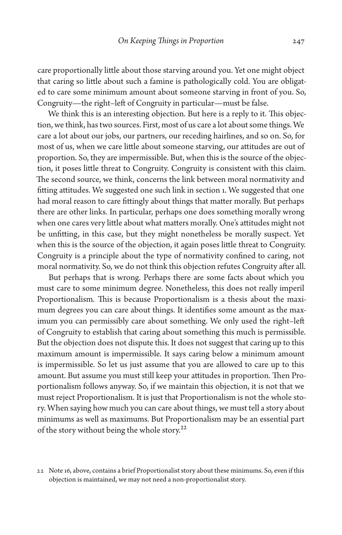care proportionally little about those starving around you. Yet one might object that caring so little about such a famine is pathologically cold. You are obligated to care some minimum amount about someone starving in front of you. So, Congruity—the right–left of Congruity in particular—must be false.

We think this is an interesting objection. But here is a reply to it. This objection, we think, has two sources. First, most of us care a lot about some things. We care a lot about our jobs, our partners, our receding hairlines, and so on. So, for most of us, when we care little about someone starving, our attitudes are out of proportion. So, they are impermissible. But, when this is the source of the objection, it poses little threat to Congruity. Congruity is consistent with this claim. The second source, we think, concerns the link between moral normativity and fitting attitudes. We suggested one such link in section 1. We suggested that one had moral reason to care fittingly about things that matter morally. But perhaps there are other links. In particular, perhaps one does something morally wrong when one cares very little about what matters morally. One's attitudes might not be unfitting, in this case, but they might nonetheless be morally suspect. Yet when this is the source of the objection, it again poses little threat to Congruity. Congruity is a principle about the type of normativity confined to caring, not moral normativity. So, we do not think this objection refutes Congruity after all.

But perhaps that is wrong. Perhaps there are some facts about which you must care to some minimum degree. Nonetheless, this does not really imperil Proportionalism. This is because Proportionalism is a thesis about the maximum degrees you can care about things. It identifies some amount as the maximum you can permissibly care about something. We only used the right–left of Congruity to establish that caring about something this much is permissible. But the objection does not dispute this. It does not suggest that caring up to this maximum amount is impermissible. It says caring below a minimum amount is impermissible. So let us just assume that you are allowed to care up to this amount. But assume you must still keep your attitudes in proportion. Then Proportionalism follows anyway. So, if we maintain this objection, it is not that we must reject Proportionalism. It is just that Proportionalism is not the whole story. When saying how much you can care about things, we must tell a story about minimums as well as maximums. But Proportionalism may be an essential part of the story without being the whole story.<sup>22</sup>

<sup>22</sup> Note 16, above, contains a brief Proportionalist story about these minimums. So, even if this objection is maintained, we may not need a non-proportionalist story.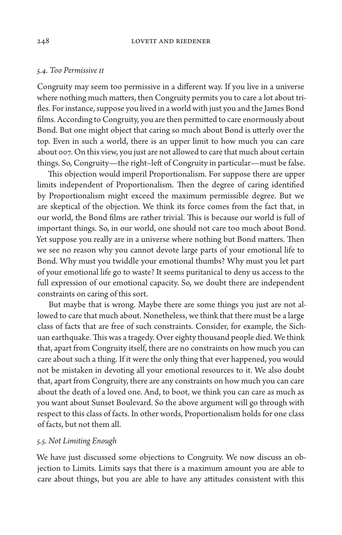# *5.4. Too Permissive II*

Congruity may seem too permissive in a different way. If you live in a universe where nothing much matters, then Congruity permits you to care a lot about trifles. For instance, suppose you lived in a world with just you and the James Bond films. According to Congruity, you are then permitted to care enormously about Bond. But one might object that caring so much about Bond is utterly over the top. Even in such a world, there is an upper limit to how much you can care about 007. On this view, you just are not allowed to care that much about certain things. So, Congruity—the right–left of Congruity in particular—must be false.

This objection would imperil Proportionalism. For suppose there are upper limits independent of Proportionalism. Then the degree of caring identified by Proportionalism might exceed the maximum permissible degree. But we are skeptical of the objection. We think its force comes from the fact that, in our world, the Bond films are rather trivial. This is because our world is full of important things. So, in our world, one should not care too much about Bond. Yet suppose you really are in a universe where nothing but Bond matters. Then we see no reason why you cannot devote large parts of your emotional life to Bond. Why must you twiddle your emotional thumbs? Why must you let part of your emotional life go to waste? It seems puritanical to deny us access to the full expression of our emotional capacity. So, we doubt there are independent constraints on caring of this sort.

But maybe that is wrong. Maybe there are some things you just are not allowed to care that much about. Nonetheless, we think that there must be a large class of facts that are free of such constraints. Consider, for example, the Sichuan earthquake. This was a tragedy. Over eighty thousand people died. We think that, apart from Congruity itself, there are no constraints on how much you can care about such a thing. If it were the only thing that ever happened, you would not be mistaken in devoting all your emotional resources to it. We also doubt that, apart from Congruity, there are any constraints on how much you can care about the death of a loved one. And, to boot, we think you can care as much as you want about Sunset Boulevard. So the above argument will go through with respect to this class of facts. In other words, Proportionalism holds for one class of facts, but not them all.

## *5.5. Not Limiting Enough*

We have just discussed some objections to Congruity. We now discuss an objection to Limits. Limits says that there is a maximum amount you are able to care about things, but you are able to have any attitudes consistent with this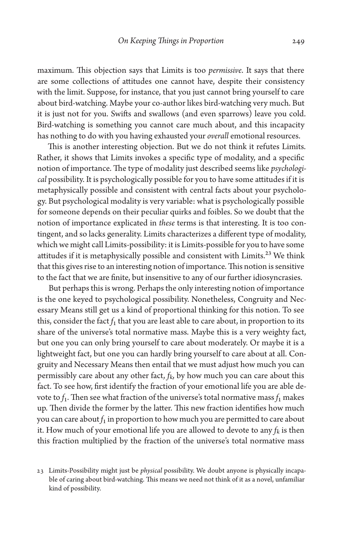maximum. This objection says that Limits is too *permissive*. It says that there are some collections of attitudes one cannot have, despite their consistency with the limit. Suppose, for instance, that you just cannot bring yourself to care about bird-watching. Maybe your co-author likes bird-watching very much. But it is just not for you. Swifts and swallows (and even sparrows) leave you cold. Bird-watching is something you cannot care much about, and this incapacity has nothing to do with you having exhausted your *overall* emotional resources.

This is another interesting objection. But we do not think it refutes Limits. Rather, it shows that Limits invokes a specific type of modality, and a specific notion of importance. The type of modality just described seems like *psychological* possibility. It is psychologically possible for you to have some attitudes if it is metaphysically possible and consistent with central facts about your psychology. But psychological modality is very variable: what is psychologically possible for someone depends on their peculiar quirks and foibles. So we doubt that the notion of importance explicated in *these* terms is that interesting. It is too contingent, and so lacks generality. Limits characterizes a different type of modality, which we might call Limits-possibility: it is Limits-possible for you to have some attitudes if it is metaphysically possible and consistent with Limits.<sup>23</sup> We think that this gives rise to an interesting notion of importance. This notion is sensitive to the fact that we are finite, but insensitive to any of our further idiosyncrasies.

But perhaps this is wrong. Perhaps the only interesting notion of importance is the one keyed to psychological possibility. Nonetheless, Congruity and Necessary Means still get us a kind of proportional thinking for this notion. To see this, consider the fact  $f_1$  that you are least able to care about, in proportion to its share of the universe's total normative mass. Maybe this is a very weighty fact, but one you can only bring yourself to care about moderately. Or maybe it is a lightweight fact, but one you can hardly bring yourself to care about at all. Congruity and Necessary Means then entail that we must adjust how much you can permissibly care about any other fact, *f k*, by how much you can care about this fact. To see how, first identify the fraction of your emotional life you are able devote to  $f_1$ . Then see what fraction of the universe's total normative mass  $f_1$  makes up. Then divide the former by the latter. This new fraction identifies how much you can care about  $f_1$  in proportion to how much you are permitted to care about it. How much of your emotional life you are allowed to devote to any  $f_k$  is then this fraction multiplied by the fraction of the universe's total normative mass

<sup>23</sup> Limits-Possibility might just be *physical* possibility. We doubt anyone is physically incapable of caring about bird-watching. This means we need not think of it as a novel, unfamiliar kind of possibility.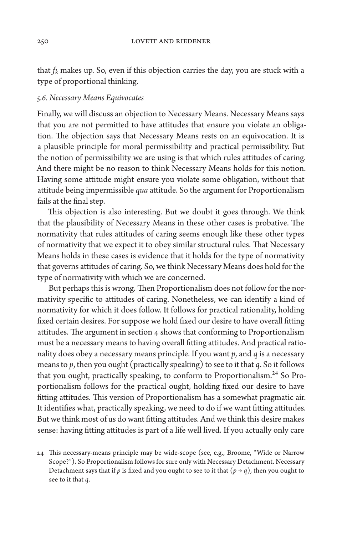that  $f_k$  makes up. So, even if this objection carries the day, you are stuck with a type of proportional thinking.

# *5.6. Necessary Means Equivocates*

Finally, we will discuss an objection to Necessary Means. Necessary Means says that you are not permitted to have attitudes that ensure you violate an obligation. The objection says that Necessary Means rests on an equivocation. It is a plausible principle for moral permissibility and practical permissibility. But the notion of permissibility we are using is that which rules attitudes of caring. And there might be no reason to think Necessary Means holds for this notion. Having some attitude might ensure you violate some obligation, without that attitude being impermissible *qua* attitude. So the argument for Proportionalism fails at the final step.

This objection is also interesting. But we doubt it goes through. We think that the plausibility of Necessary Means in these other cases is probative. The normativity that rules attitudes of caring seems enough like these other types of normativity that we expect it to obey similar structural rules. That Necessary Means holds in these cases is evidence that it holds for the type of normativity that governs attitudes of caring. So, we think Necessary Means does hold for the type of normativity with which we are concerned.

But perhaps this is wrong. Then Proportionalism does not follow for the normativity specific to attitudes of caring. Nonetheless, we can identify a kind of normativity for which it does follow. It follows for practical rationality, holding fixed certain desires. For suppose we hold fixed our desire to have overall fitting attitudes. The argument in section 4 shows that conforming to Proportionalism must be a necessary means to having overall fitting attitudes. And practical rationality does obey a necessary means principle. If you want *p,* and *q* is a necessary means to *p*, then you ought (practically speaking) to see to it that *q*. So it follows that you ought, practically speaking, to conform to Proportionalism.<sup>24</sup> So Proportionalism follows for the practical ought, holding fixed our desire to have fitting attitudes. This version of Proportionalism has a somewhat pragmatic air. It identifies what, practically speaking, we need to do if we want fitting attitudes. But we think most of us do want fitting attitudes. And we think this desire makes sense: having fitting attitudes is part of a life well lived. If you actually only care

<sup>24</sup> This necessary-means principle may be wide-scope (see, e.g., Broome, "Wide or Narrow Scope?"). So Proportionalism follows for sure only with Necessary Detachment. Necessary Detachment says that if *p* is fixed and you ought to see to it that  $(p \rightarrow q)$ , then you ought to see to it that *q*.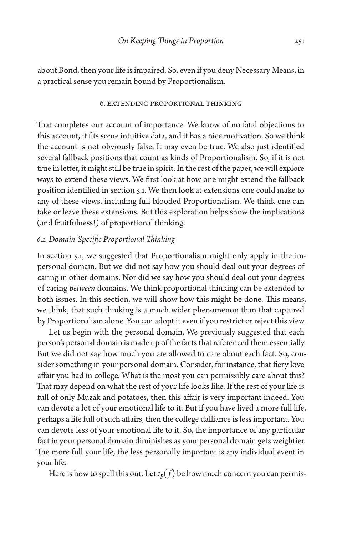about Bond, then your life is impaired. So, even if you deny Necessary Means, in a practical sense you remain bound by Proportionalism.

#### 6. Extending Proportional Thinking

That completes our account of importance. We know of no fatal objections to this account, it fits some intuitive data, and it has a nice motivation. So we think the account is not obviously false. It may even be true. We also just identified several fallback positions that count as kinds of Proportionalism. So, if it is not true in letter, it might still be true in spirit. In the rest of the paper, we will explore ways to extend these views. We first look at how one might extend the fallback position identified in section 5.1. We then look at extensions one could make to any of these views, including full-blooded Proportionalism. We think one can take or leave these extensions. But this exploration helps show the implications (and fruitfulness!) of proportional thinking.

# *6.1. Domain-Specific Proportional Thinking*

In section 5.1, we suggested that Proportionalism might only apply in the impersonal domain. But we did not say how you should deal out your degrees of caring in other domains. Nor did we say how you should deal out your degrees of caring *between* domains. We think proportional thinking can be extended to both issues. In this section, we will show how this might be done. This means, we think, that such thinking is a much wider phenomenon than that captured by Proportionalism alone. You can adopt it even if you restrict or reject this view.

Let us begin with the personal domain. We previously suggested that each person's personal domain is made up of the facts that referenced them essentially. But we did not say how much you are allowed to care about each fact. So, consider something in your personal domain. Consider, for instance, that fiery love affair you had in college. What is the most you can permissibly care about this? That may depend on what the rest of your life looks like. If the rest of your life is full of only Muzak and potatoes, then this affair is very important indeed. You can devote a lot of your emotional life to it. But if you have lived a more full life, perhaps a life full of such affairs, then the college dalliance is less important. You can devote less of your emotional life to it. So, the importance of any particular fact in your personal domain diminishes as your personal domain gets weightier. The more full your life, the less personally important is any individual event in your life.

Here is how to spell this out. Let  $I_p(f)$  be how much concern you can permis-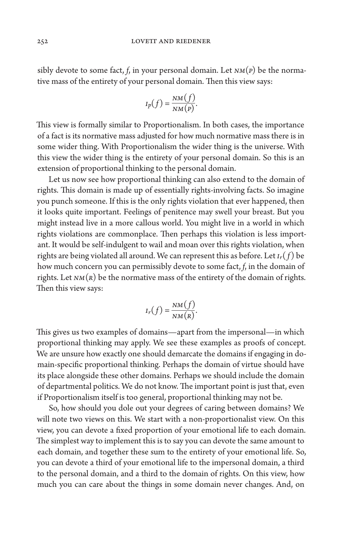sibly devote to some fact,  $f$ , in your personal domain. Let  $NM(P)$  be the normative mass of the entirety of your personal domain. Then this view says:

$$
I_p(f) = \frac{NM(f)}{NM(p)}.
$$

This view is formally similar to Proportionalism. In both cases, the importance of a fact is its normative mass adjusted for how much normative mass there is in some wider thing. With Proportionalism the wider thing is the universe. With this view the wider thing is the entirety of your personal domain. So this is an extension of proportional thinking to the personal domain.

Let us now see how proportional thinking can also extend to the domain of rights. This domain is made up of essentially rights-involving facts. So imagine you punch someone. If this is the only rights violation that ever happened, then it looks quite important. Feelings of penitence may swell your breast. But you might instead live in a more callous world. You might live in a world in which rights violations are commonplace. Then perhaps this violation is less important. It would be self-indulgent to wail and moan over this rights violation, when rights are being violated all around. We can represent this as before. Let  $I_r(f)$  be how much concern you can permissibly devote to some fact, *f*, in the domain of rights. Let  $NM(R)$  be the normative mass of the entirety of the domain of rights. Then this view says:

$$
I_r(f) = \frac{NM(f)}{NM(R)}.
$$

This gives us two examples of domains—apart from the impersonal—in which proportional thinking may apply. We see these examples as proofs of concept. We are unsure how exactly one should demarcate the domains if engaging in domain-specific proportional thinking. Perhaps the domain of virtue should have its place alongside these other domains. Perhaps we should include the domain of departmental politics. We do not know. The important point is just that, even if Proportionalism itself is too general, proportional thinking may not be.

So, how should you dole out your degrees of caring between domains? We will note two views on this. We start with a non-proportionalist view. On this view, you can devote a fixed proportion of your emotional life to each domain. The simplest way to implement this is to say you can devote the same amount to each domain, and together these sum to the entirety of your emotional life. So, you can devote a third of your emotional life to the impersonal domain, a third to the personal domain, and a third to the domain of rights. On this view, how much you can care about the things in some domain never changes. And, on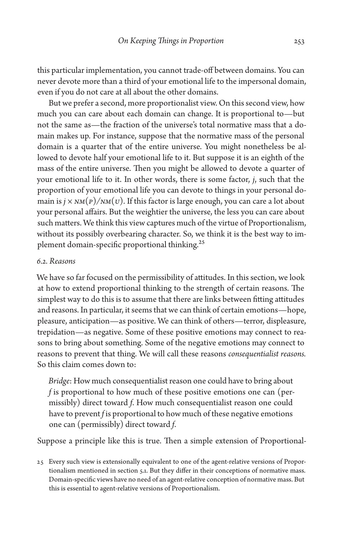this particular implementation, you cannot trade-off between domains. You can never devote more than a third of your emotional life to the impersonal domain, even if you do not care at all about the other domains.

But we prefer a second, more proportionalist view. On this second view, how much you can care about each domain can change. It is proportional to—but not the same as—the fraction of the universe's total normative mass that a domain makes up. For instance, suppose that the normative mass of the personal domain is a quarter that of the entire universe. You might nonetheless be allowed to devote half your emotional life to it. But suppose it is an eighth of the mass of the entire universe. Then you might be allowed to devote a quarter of your emotional life to it. In other words, there is some factor, *j*, such that the proportion of your emotional life you can devote to things in your personal domain is  $j \times NM(P)/NM(U)$ . If this factor is large enough, you can care a lot about your personal affairs. But the weightier the universe, the less you can care about such matters. We think this view captures much of the virtue of Proportionalism, without its possibly overbearing character. So, we think it is the best way to implement domain-specific proportional thinking.<sup>25</sup>

# *6.2. Reasons*

We have so far focused on the permissibility of attitudes. In this section, we look at how to extend proportional thinking to the strength of certain reasons. The simplest way to do this is to assume that there are links between fitting attitudes and reasons. In particular, it seems that we can think of certain emotions—hope, pleasure, anticipation—as positive. We can think of others—terror, displeasure, trepidation—as negative. Some of these positive emotions may connect to reasons to bring about something. Some of the negative emotions may connect to reasons to prevent that thing. We will call these reasons *consequentialist reasons.*  So this claim comes down to:

*Bridge*: How much consequentialist reason one could have to bring about *f* is proportional to how much of these positive emotions one can (permissibly) direct toward *f*. How much consequentialist reason one could have to prevent *f* is proportional to how much of these negative emotions one can (permissibly) direct toward *f*.

Suppose a principle like this is true. Then a simple extension of Proportional-

<sup>25</sup> Every such view is extensionally equivalent to one of the agent-relative versions of Proportionalism mentioned in section 5.1. But they differ in their conceptions of normative mass. Domain-specific views have no need of an agent-relative conception of normative mass. But this is essential to agent-relative versions of Proportionalism.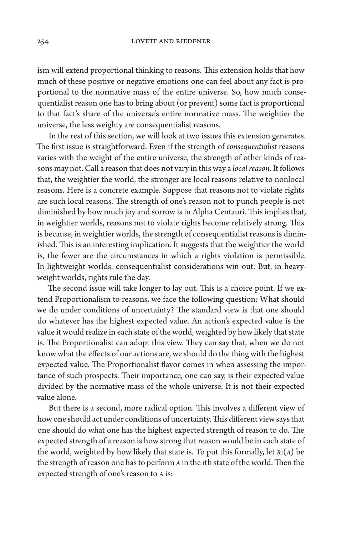ism will extend proportional thinking to reasons. This extension holds that how much of these positive or negative emotions one can feel about any fact is proportional to the normative mass of the entire universe. So, how much consequentialist reason one has to bring about (or prevent) some fact is proportional to that fact's share of the universe's entire normative mass. The weightier the universe, the less weighty are consequentialist reasons.

In the rest of this section, we will look at two issues this extension generates. The first issue is straightforward. Even if the strength of *consequentialist* reasons varies with the weight of the entire universe, the strength of other kinds of reasons may not. Call a reason that does not vary in this way a *local reason*. It follows that, the weightier the world, the stronger are local reasons relative to nonlocal reasons. Here is a concrete example. Suppose that reasons not to violate rights are such local reasons. The strength of one's reason not to punch people is not diminished by how much joy and sorrow is in Alpha Centauri. This implies that, in weightier worlds, reasons not to violate rights become relatively strong. This is because, in weightier worlds, the strength of consequentialist reasons is diminished. This is an interesting implication. It suggests that the weightier the world is, the fewer are the circumstances in which a rights violation is permissible. In lightweight worlds, consequentialist considerations win out. But, in heavyweight worlds, rights rule the day.

The second issue will take longer to lay out. This is a choice point. If we extend Proportionalism to reasons, we face the following question: What should we do under conditions of uncertainty? The standard view is that one should do whatever has the highest expected value. An action's expected value is the value it would realize in each state of the world, weighted by how likely that state is. The Proportionalist can adopt this view. They can say that, when we do not know what the effects of our actions are, we should do the thing with the highest expected value. The Proportionalist flavor comes in when assessing the importance of such prospects. Their importance, one can say, is their expected value divided by the normative mass of the whole universe. It is not their expected value alone.

But there is a second, more radical option. This involves a different view of how one should act under conditions of uncertainty. This different view says that one should do what one has the highest expected strength of reason to do. The expected strength of a reason is how strong that reason would be in each state of the world, weighted by how likely that state is. To put this formally, let  $R_i(A)$  be the strength of reason one has to perform *A* in the *i*th state of the world. Then the expected strength of one's reason to *A* is: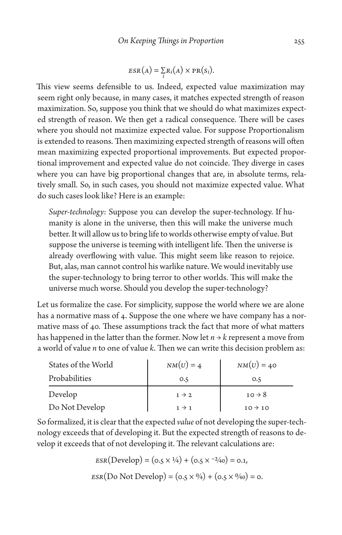$$
ESR(A) = \sum_{i} R_i(A) \times PR(S_i).
$$

This view seems defensible to us. Indeed, expected value maximization may seem right only because, in many cases, it matches expected strength of reason maximization. So, suppose you think that we should do what maximizes expected strength of reason. We then get a radical consequence. There will be cases where you should not maximize expected value. For suppose Proportionalism is extended to reasons. Then maximizing expected strength of reasons will often mean maximizing expected proportional improvements. But expected proportional improvement and expected value do not coincide. They diverge in cases where you can have big proportional changes that are, in absolute terms, relatively small. So, in such cases, you should not maximize expected value. What do such cases look like? Here is an example:

*Super-technology*: Suppose you can develop the super-technology. If humanity is alone in the universe, then this will make the universe much better. It will allow us to bring life to worlds otherwise empty of value. But suppose the universe is teeming with intelligent life. Then the universe is already overflowing with value. This might seem like reason to rejoice. But, alas, man cannot control his warlike nature. We would inevitably use the super-technology to bring terror to other worlds. This will make the universe much worse. Should you develop the super-technology?

Let us formalize the case. For simplicity, suppose the world where we are alone has a normative mass of 4. Suppose the one where we have company has a normative mass of 40. These assumptions track the fact that more of what matters has happened in the latter than the former. Now let  $n \rightarrow k$  represent a move from a world of value *n* to one of value *k*. Then we can write this decision problem as:

| States of the World | $NM(U)=4$         | $NM(U)=40$          |
|---------------------|-------------------|---------------------|
| Probabilities       | O.5               | 0.5                 |
| Develop             | $1 \rightarrow 2$ | $10 \rightarrow 8$  |
| Do Not Develop      | $1 \rightarrow 1$ | $10 \rightarrow 10$ |

So formalized, it is clear that the expected *value* of not developing the super-technology exceeds that of developing it. But the expected strength of reasons to develop it exceeds that of not developing it. The relevant calculations are:

$$
ESR(Develop) = (o.5 \times \frac{1}{4}) + (o.5 \times \frac{-2}{40}) = o.1,
$$
  

$$
ESR(Do Not Develop) = (o.5 \times \frac{0}{4}) + (o.5 \times \frac{0}{40}) = o.
$$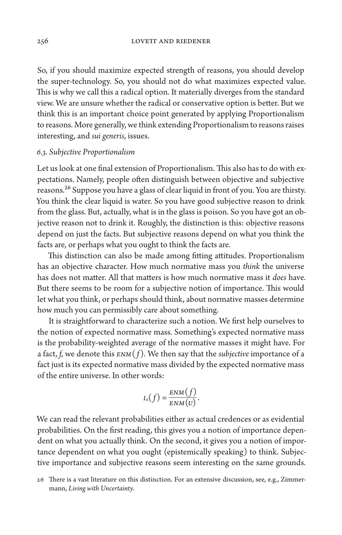So, if you should maximize expected strength of reasons, you should develop the super-technology. So, you should not do what maximizes expected value. This is why we call this a radical option. It materially diverges from the standard view. We are unsure whether the radical or conservative option is better. But we think this is an important choice point generated by applying Proportionalism to reasons. More generally, we think extending Proportionalism to reasons raises interesting, and *sui generis*, issues.

# *6.3. Subjective Proportionalism*

Let us look at one final extension of Proportionalism. This also has to do with expectations. Namely, people often distinguish between objective and subjective reasons.<sup>26</sup> Suppose you have a glass of clear liquid in front of you. You are thirsty. You think the clear liquid is water. So you have good subjective reason to drink from the glass. But, actually, what is in the glass is poison. So you have got an objective reason not to drink it. Roughly, the distinction is this: objective reasons depend on just the facts. But subjective reasons depend on what you think the facts are, or perhaps what you ought to think the facts are.

This distinction can also be made among fitting attitudes. Proportionalism has an objective character. How much normative mass you *think* the universe has does not matter. All that matters is how much normative mass it *does* have. But there seems to be room for a subjective notion of importance. This would let what you think, or perhaps should think, about normative masses determine how much you can permissibly care about something.

It is straightforward to characterize such a notion. We first help ourselves to the notion of expected normative mass. Something's expected normative mass is the probability-weighted average of the normative masses it might have. For a fact, *f*, we denote this *ENM*( *f* ). We then say that the *subjective* importance of a fact just is its expected normative mass divided by the expected normative mass of the entire universe. In other words:

$$
I_s(f) = \frac{ENM(f)}{ENM(U)}.
$$

We can read the relevant probabilities either as actual credences or as evidential probabilities. On the first reading, this gives you a notion of importance dependent on what you actually think. On the second, it gives you a notion of importance dependent on what you ought (epistemically speaking) to think. Subjective importance and subjective reasons seem interesting on the same grounds.

<sup>26</sup> There is a vast literature on this distinction. For an extensive discussion, see, e.g., Zimmermann, *Living with Uncertainty*.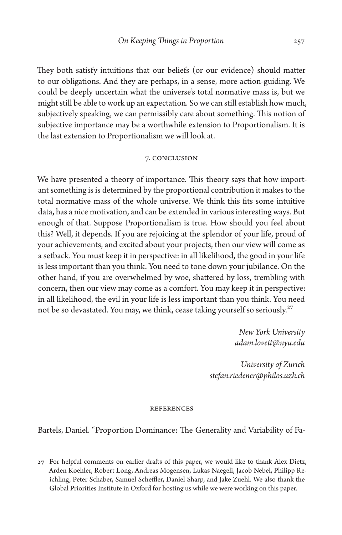They both satisfy intuitions that our beliefs (or our evidence) should matter to our obligations. And they are perhaps, in a sense, more action-guiding. We could be deeply uncertain what the universe's total normative mass is, but we might still be able to work up an expectation. So we can still establish how much, subjectively speaking, we can permissibly care about something. This notion of subjective importance may be a worthwhile extension to Proportionalism. It is the last extension to Proportionalism we will look at.

#### 7. Conclusion

We have presented a theory of importance. This theory says that how important something is is determined by the proportional contribution it makes to the total normative mass of the whole universe. We think this fits some intuitive data, has a nice motivation, and can be extended in various interesting ways. But enough of that. Suppose Proportionalism is true. How should you feel about this? Well, it depends. If you are rejoicing at the splendor of your life, proud of your achievements, and excited about your projects, then our view will come as a setback. You must keep it in perspective: in all likelihood, the good in your life is less important than you think. You need to tone down your jubilance. On the other hand, if you are overwhelmed by woe, shattered by loss, trembling with concern, then our view may come as a comfort. You may keep it in perspective: in all likelihood, the evil in your life is less important than you think. You need not be so devastated. You may, we think, cease taking yourself so seriously.<sup>27</sup>

> *New York University [adam.lovett@nyu.edu](mailto:adam.lovett@nyu.edu)*

*University of Zurich [stefan.riedener@philos.uzh.ch](mailto:stefan.riedener@philos.uzh.ch )*

## **REFERENCES**

Bartels, Daniel. "Proportion Dominance: The Generality and Variability of Fa-

27 For helpful comments on earlier drafts of this paper, we would like to thank Alex Dietz, Arden Koehler, Robert Long, Andreas Mogensen, Lukas Naegeli, Jacob Nebel, Philipp Reichling, Peter Schaber, Samuel Scheffler, Daniel Sharp, and Jake Zuehl. We also thank the Global Priorities Institute in Oxford for hosting us while we were working on this paper.